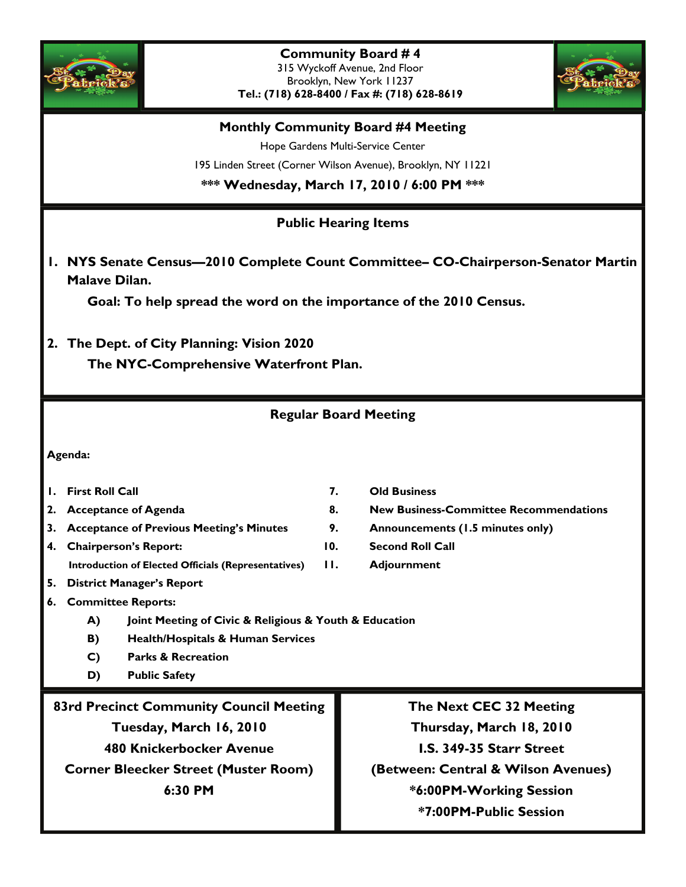

**Community Board # 4**  315 Wyckoff Avenue, 2nd Floor Brooklyn, New York 11237 **Tel.: (718) 628-8400 / Fax #: (718) 628-8619** 



#### **Monthly Community Board #4 Meeting**

Hope Gardens Multi-Service Center 195 Linden Street (Corner Wilson Avenue), Brooklyn, NY 11221 **\*\*\* Wednesday, March 17, 2010 / 6:00 PM \*\*\*** 

### **Public Hearing Items**

**1. NYS Senate Census—2010 Complete Count Committee– CO-Chairperson-Senator Martin Malave Dilan.** 

 **Goal: To help spread the word on the importance of the 2010 Census.** 

**2. The Dept. of City Planning: Vision 2020** 

 **The NYC-Comprehensive Waterfront Plan.** 

### **Regular Board Meeting**

#### **Agenda:**

- **1. First Roll Call 7. Old Business**
- 
- **3. Acceptance of Previous Meeting's Minutes 9. Announcements (1.5 minutes only)**
- **4. Chairperson's Report: 10. Second Roll Call**
- 
- **2. Acceptance of Agenda 8. New Business-Committee Recommendations** 
	-
	-
	- **Introduction of Elected Officials (Representatives) 11. Adjournment**
- **5. District Manager's Report**
- **6. Committee Reports:** 
	- **A) Joint Meeting of Civic & Religious & Youth & Education**
	- **B) Health/Hospitals & Human Services**
	- **C) Parks & Recreation**
	- **D) Public Safety**

**83rd Precinct Community Council Meeting Tuesday, March 16, 2010 480 Knickerbocker Avenue Corner Bleecker Street (Muster Room) 6:30 PM** 

**The Next CEC 32 Meeting Thursday, March 18, 2010 I.S. 349-35 Starr Street (Between: Central & Wilson Avenues) \*6:00PM-Working Session \*7:00PM-Public Session**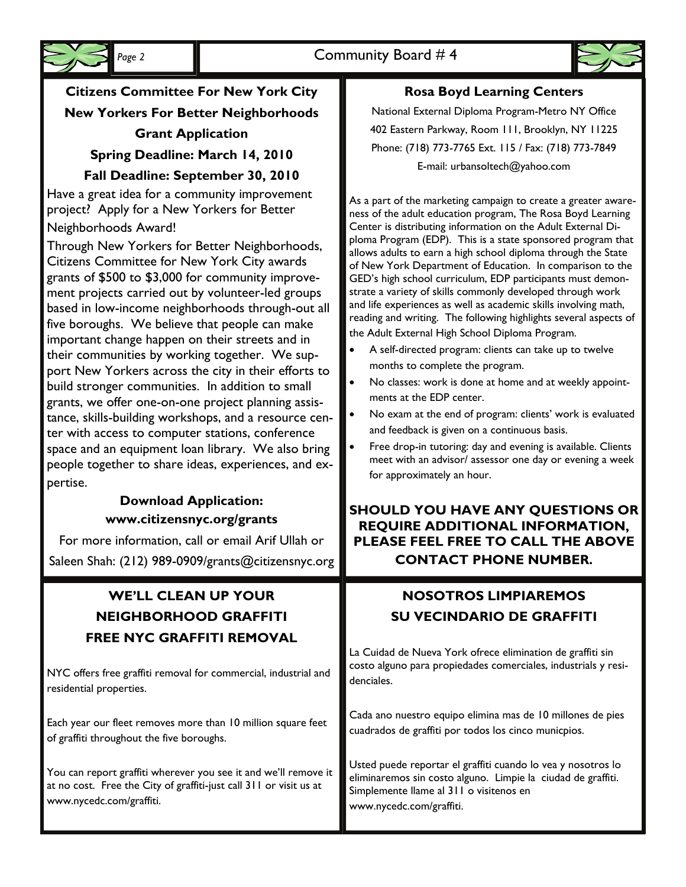



# **Citizens Committee For New York City New Yorkers For Better Neighborhoods Grant Application Spring Deadline: March 14, 2010**

## **Fall Deadline: September 30, 2010**

Have a great idea for a community improvement project? Apply for a New Yorkers for Better Neighborhoods Award!

Through New Yorkers for Better Neighborhoods, Citizens Committee for New York City awards grants of \$500 to \$3,000 for community improvement projects carried out by volunteer-led groups based in low-income neighborhoods through-out all five boroughs. We believe that people can make important change happen on their streets and in their communities by working together. We support New Yorkers across the city in their efforts to build stronger communities. In addition to small grants, we offer one-on-one project planning assistance, skills-building workshops, and a resource center with access to computer stations, conference space and an equipment loan library. We also bring people together to share ideas, experiences, and expertise.

## **Download Application: www.citizensnyc.org/grants**

For more information, call or email Arif Ullah or Saleen Shah: (212) 989-0909/grants@citizensnyc.org

## **WE'LL CLEAN UP YOUR NEIGHBORHOOD GRAFFITI FREE NYC GRAFFITI REMOVAL**

NYC offers free graffiti removal for commercial, industrial and residential properties.

Each year our fleet removes more than 10 million square feet of graffiti throughout the five boroughs.

You can report graffiti wherever you see it and we'll remove it at no cost. Free the City of graffiti-just call 311 or visit us at www.nycedc.com/graffiti.

## **Rosa Boyd Learning Centers**

National External Diploma Program-Metro NY Office 402 Eastern Parkway, Room 111, Brooklyn, NY 11225 Phone: (718) 773-7765 Ext. 115 / Fax: (718) 773-7849 E-mail: urbansoltech@yahoo.com

As a part of the marketing campaign to create a greater awareness of the adult education program, The Rosa Boyd Learning Center is distributing information on the Adult External Diploma Program (EDP). This is a state sponsored program that allows adults to earn a high school diploma through the State of New York Department of Education. In comparison to the GED's high school curriculum, EDP participants must demonstrate a variety of skills commonly developed through work and life experiences as well as academic skills involving math, reading and writing. The following highlights several aspects of the Adult External High School Diploma Program.

- A self-directed program: clients can take up to twelve months to complete the program.
- No classes: work is done at home and at weekly appointments at the EDP center.
- No exam at the end of program: clients' work is evaluated and feedback is given on a continuous basis.
- Free drop-in tutoring: day and evening is available. Clients meet with an advisor/ assessor one day or evening a week for approximately an hour.

## **SHOULD YOU HAVE ANY QUESTIONS OR REQUIRE ADDITIONAL INFORMATION, PLEASE FEEL FREE TO CALL THE ABOVE CONTACT PHONE NUMBER.**

## **NOSOTROS LIMPIAREMOS SU VECINDARIO DE GRAFFITI**

La Cuidad de Nueva York ofrece elimination de graffiti sin costo alguno para propiedades comerciales, industrials y residenciales.

Cada ano nuestro equipo elimina mas de 10 millones de pies cuadrados de graffiti por todos los cinco municpios.

Usted puede reportar el graffiti cuando lo vea y nosotros lo eliminaremos sin costo alguno. Limpie la ciudad de graffiti. Simplemente llame al 311 o visitenos en www.nycedc.com/graffiti.